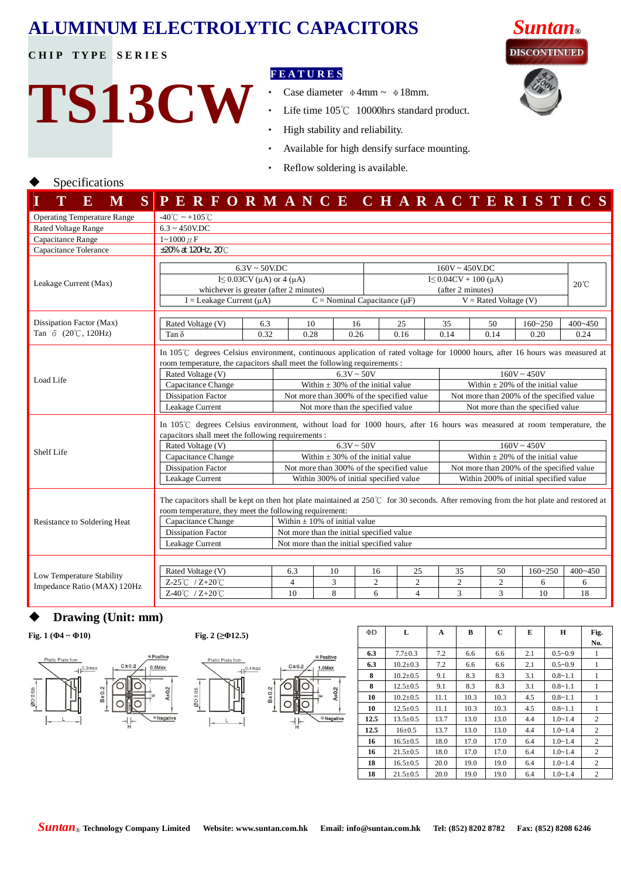# **ALUMINUM ELECTROLYTIC CAPACITORS** *Suntan***®**

**CHIP TYPE SERIES** 

**TS13CW**

### **F E A T U R E S**

- Case diameter φ4mm ~ φ18mm.
- ‧ Life time 105℃ 10000hrs standard product.
- ‧ High stability and reliability.
- Available for high densify surface mounting.
- Reflow soldering is available.

## Specifications

| T<br>${\bf E}$<br>M                                      | SPERFORMANCE CHARACTERISTICS                                                                                                                                                                                                                                                                                                          |                                                                                                                                                                                                                                                                                                                                                         |                                                                                                                                                                                                                                          |                                                    |                           |                                        |                                        |                                                                                                                                             |                                                                                                        |                                        |                        |             |                        |                |  |
|----------------------------------------------------------|---------------------------------------------------------------------------------------------------------------------------------------------------------------------------------------------------------------------------------------------------------------------------------------------------------------------------------------|---------------------------------------------------------------------------------------------------------------------------------------------------------------------------------------------------------------------------------------------------------------------------------------------------------------------------------------------------------|------------------------------------------------------------------------------------------------------------------------------------------------------------------------------------------------------------------------------------------|----------------------------------------------------|---------------------------|----------------------------------------|----------------------------------------|---------------------------------------------------------------------------------------------------------------------------------------------|--------------------------------------------------------------------------------------------------------|----------------------------------------|------------------------|-------------|------------------------|----------------|--|
| <b>Operating Temperature Range</b>                       | $-40^{\circ}$ C ~ +105 $^{\circ}$ C                                                                                                                                                                                                                                                                                                   |                                                                                                                                                                                                                                                                                                                                                         |                                                                                                                                                                                                                                          |                                                    |                           |                                        |                                        |                                                                                                                                             |                                                                                                        |                                        |                        |             |                        |                |  |
| <b>Rated Voltage Range</b>                               | $6.3 \sim 450$ V.DC                                                                                                                                                                                                                                                                                                                   |                                                                                                                                                                                                                                                                                                                                                         |                                                                                                                                                                                                                                          |                                                    |                           |                                        |                                        |                                                                                                                                             |                                                                                                        |                                        |                        |             |                        |                |  |
| Capacitance Range                                        | $1 - 1000 \mu F$                                                                                                                                                                                                                                                                                                                      |                                                                                                                                                                                                                                                                                                                                                         |                                                                                                                                                                                                                                          |                                                    |                           |                                        |                                        |                                                                                                                                             |                                                                                                        |                                        |                        |             |                        |                |  |
| Capacitance Tolerance                                    | ±20% at 120Hz, 20°C                                                                                                                                                                                                                                                                                                                   |                                                                                                                                                                                                                                                                                                                                                         |                                                                                                                                                                                                                                          |                                                    |                           |                                        |                                        |                                                                                                                                             |                                                                                                        |                                        |                        |             |                        |                |  |
|                                                          | $6.3V \sim 50V \cdot DC$<br>I $\leq$ 0.03CV ( $\mu$ A) or 4 ( $\mu$ A)                                                                                                                                                                                                                                                                |                                                                                                                                                                                                                                                                                                                                                         |                                                                                                                                                                                                                                          | $160V \sim 450V$ .DC<br>$I \leq 0.04CV + 100$ (µA) |                           |                                        |                                        |                                                                                                                                             |                                                                                                        |                                        |                        |             |                        |                |  |
| Leakage Current (Max)                                    | whichever is greater (after 2 minutes)                                                                                                                                                                                                                                                                                                |                                                                                                                                                                                                                                                                                                                                                         |                                                                                                                                                                                                                                          |                                                    |                           |                                        |                                        | (after 2 minutes)                                                                                                                           |                                                                                                        |                                        |                        |             |                        | $20^{\circ}$ C |  |
|                                                          |                                                                                                                                                                                                                                                                                                                                       | $I =$ Leakage Current ( $\mu$ A)<br>$C =$ Nominal Capacitance ( $\mu$ F)<br>$V =$ Rated Voltage (V)                                                                                                                                                                                                                                                     |                                                                                                                                                                                                                                          |                                                    |                           |                                        |                                        |                                                                                                                                             |                                                                                                        |                                        |                        |             |                        |                |  |
| Dissipation Factor (Max)                                 | Rated Voltage (V)                                                                                                                                                                                                                                                                                                                     | 6.3                                                                                                                                                                                                                                                                                                                                                     | 10                                                                                                                                                                                                                                       |                                                    | 16                        |                                        | 25                                     | 35                                                                                                                                          |                                                                                                        | 50                                     |                        | $160 - 250$ |                        | $400 - 450$    |  |
| Tan $\delta$ (20°C, 120Hz)                               | Tan $\delta$                                                                                                                                                                                                                                                                                                                          | 0.32                                                                                                                                                                                                                                                                                                                                                    | 0.28                                                                                                                                                                                                                                     |                                                    | 0.26                      |                                        | 0.16                                   | 0.14                                                                                                                                        |                                                                                                        | 0.14                                   |                        | 0.20        |                        | 0.24           |  |
| Load Life                                                | Rated Voltage (V)<br>Capacitance Change<br><b>Dissipation Factor</b><br>Leakage Current                                                                                                                                                                                                                                               | In 105°C degrees Celsius environment, continuous application of rated voltage for 10000 hours, after 16 hours was measured at<br>room temperature, the capacitors shall meet the following requirements :<br>$6.3V \sim 50V$<br>Within $\pm$ 30% of the initial value<br>Not more than 300% of the specified value<br>Not more than the specified value |                                                                                                                                                                                                                                          |                                                    |                           |                                        |                                        | $160V \sim 450V$<br>Within $\pm$ 20% of the initial value<br>Not more than 200% of the specified value<br>Not more than the specified value |                                                                                                        |                                        |                        |             |                        |                |  |
| Shelf Life                                               | capacitors shall meet the following requirements :<br>Rated Voltage (V)<br>Capacitance Change<br><b>Dissipation Factor</b>                                                                                                                                                                                                            |                                                                                                                                                                                                                                                                                                                                                         | In $105^{\circ}$ degrees Celsius environment, without load for 1000 hours, after 16 hours was measured at room temperature, the<br>$6.3V \sim 50V$<br>Within $\pm$ 30% of the initial value<br>Not more than 300% of the specified value |                                                    |                           |                                        |                                        |                                                                                                                                             | $160V \sim 450V$<br>Within $\pm$ 20% of the initial value<br>Not more than 200% of the specified value |                                        |                        |             |                        |                |  |
|                                                          | Leakage Current                                                                                                                                                                                                                                                                                                                       |                                                                                                                                                                                                                                                                                                                                                         | Within 300% of initial specified value                                                                                                                                                                                                   |                                                    |                           |                                        |                                        |                                                                                                                                             |                                                                                                        | Within 200% of initial specified value |                        |             |                        |                |  |
| Resistance to Soldering Heat                             | The capacitors shall be kept on then hot plate maintained at $250^{\circ}$ for 30 seconds. After removing from the hot plate and restored at<br>room temperature, they meet the following requirement:<br>Within $\pm$ 10% of initial value<br>Not more than the initial specified value<br>Not more than the initial specified value |                                                                                                                                                                                                                                                                                                                                                         |                                                                                                                                                                                                                                          |                                                    |                           |                                        |                                        |                                                                                                                                             |                                                                                                        |                                        |                        |             |                        |                |  |
| Low Temperature Stability<br>Impedance Ratio (MAX) 120Hz | Rated Voltage (V)<br>$Z-25^{\circ}$ $\text{C}$ / $Z+20^{\circ}$ $\text{C}$<br>Z-40℃ / Z+20℃                                                                                                                                                                                                                                           | 6.3<br>$\overline{4}$<br>10                                                                                                                                                                                                                                                                                                                             | 10<br>3<br>8                                                                                                                                                                                                                             |                                                    | 16<br>$\overline{c}$<br>6 | 25<br>$\overline{c}$<br>$\overline{4}$ | 35<br>$\mathfrak{2}$<br>$\overline{3}$ |                                                                                                                                             | 50<br>2<br>3                                                                                           |                                        | $160 - 250$<br>6<br>10 |             | $400 - 450$<br>6<br>18 |                |  |

### Drawing (Unit: mm)

| Platic Plate fom |                    |             |             | <b>A</b> Positive |                       |
|------------------|--------------------|-------------|-------------|-------------------|-----------------------|
|                  | 0.3 <sub>max</sub> |             | $C \pm 0.2$ | $0.5$ Max         |                       |
| $ØD \pm 0.5$     |                    | $B \pm 0.2$ |             | ш                 | AtA2                  |
|                  |                    |             |             |                   | <sup>⊖</sup> Negative |



|      |           |             | $P$ Losining |                       |  |
|------|-----------|-------------|--------------|-----------------------|--|
| 4max |           | $C \pm 0.2$ | 1.0Max       |                       |  |
|      | $3 + 0.2$ |             | ш            | AtA2                  |  |
|      |           |             |              |                       |  |
|      |           |             |              | <sup>⊖</sup> Negative |  |

| Fig. 1 ( $\Phi$ 4 ~ $\Phi$ 10)                   |                                                     | Fig. 2 ( $≥$ $Φ$ 12.5)                           |                                       | ΦD   | L              | A    | B    | $\mathbf C$ | E   | н           | Fig.<br>No.    |
|--------------------------------------------------|-----------------------------------------------------|--------------------------------------------------|---------------------------------------|------|----------------|------|------|-------------|-----|-------------|----------------|
|                                                  | <b>Positive</b>                                     |                                                  | ⊕ Positive                            | 6.3  | $7.7 \pm 0.3$  | 7.2  | 6.6  | 6.6         | 2.1 | $0.5 - 0.9$ |                |
| Platic Plate fom<br>$+1$ <sup>0.3max</sup>       | $C \pm 0.2$<br>$0.5$ Max                            | Platic Plate form<br>$-1$ $\downarrow^{0.4}$ max | $C \pm 0.2$<br>1.0Max                 | 6.3  | $10.2 \pm 0.3$ | 7.2  | 6.6  | 6.6         | 2.1 | $0.5 - 0.9$ |                |
|                                                  |                                                     |                                                  |                                       | 8    | $10.2 \pm 0.5$ | 9.1  | 8.3  | 8.3         | 3.1 | $0.8 - 1.1$ |                |
|                                                  | ±0.2                                                |                                                  |                                       | 8    | $12.5 \pm 0.5$ | 9.1  | 8.3  | 8.3         | 3.1 | $0.8 - 1.1$ |                |
| $B \pm 0.2$<br>$\frac{\varphi_{D} \pm 0.5}{\pi}$ |                                                     | $\varnothing$ D ± 0.5                            | $B \pm 0.2$<br>$A \pm 0.2$<br>⊶<br>هد | 10   | $10.2 \pm 0.5$ | 11.1 | 10.3 | 10.3        | 4.5 | $0.8 - 1.1$ |                |
|                                                  |                                                     |                                                  |                                       | 10   | $12.5 \pm 0.5$ | 11.1 | 10.3 | 10.3        | 4.5 | $0.8 - 1.1$ |                |
|                                                  | <sup>⊖</sup> Negative<br>$\rightarrow$ $\leftarrow$ |                                                  | $\Theta$ Negative<br>╶┧┝╴             | 12.5 | $13.5 \pm 0.5$ | 13.7 | 13.0 | 13.0        | 4.4 | $1.0 - 1.4$ | $\overline{c}$ |
|                                                  |                                                     |                                                  |                                       | 12.5 | $16 \pm 0.5$   | 13.7 | 13.0 | 13.0        | 4.4 | $1.0 - 1.4$ | $\overline{c}$ |
|                                                  |                                                     |                                                  |                                       | 16   | $16.5 \pm 0.5$ | 18.0 | 17.0 | 17.0        | 6.4 | $1.0 - 1.4$ | 2              |
|                                                  |                                                     |                                                  |                                       | 16   | $21.5 \pm 0.5$ | 18.0 | 17.0 | 17.0        | 6.4 | $1.0 - 1.4$ | 2              |
|                                                  |                                                     |                                                  |                                       | 18   | $16.5 \pm 0.5$ | 20.0 | 19.0 | 19.0        | 6.4 | $1.0 - 1.4$ | 2              |
|                                                  |                                                     |                                                  |                                       | 18   | $21.5 \pm 0.5$ | 20.0 | 19.0 | 19.0        | 6.4 | $1.0 - 1.4$ | $\sim$         |